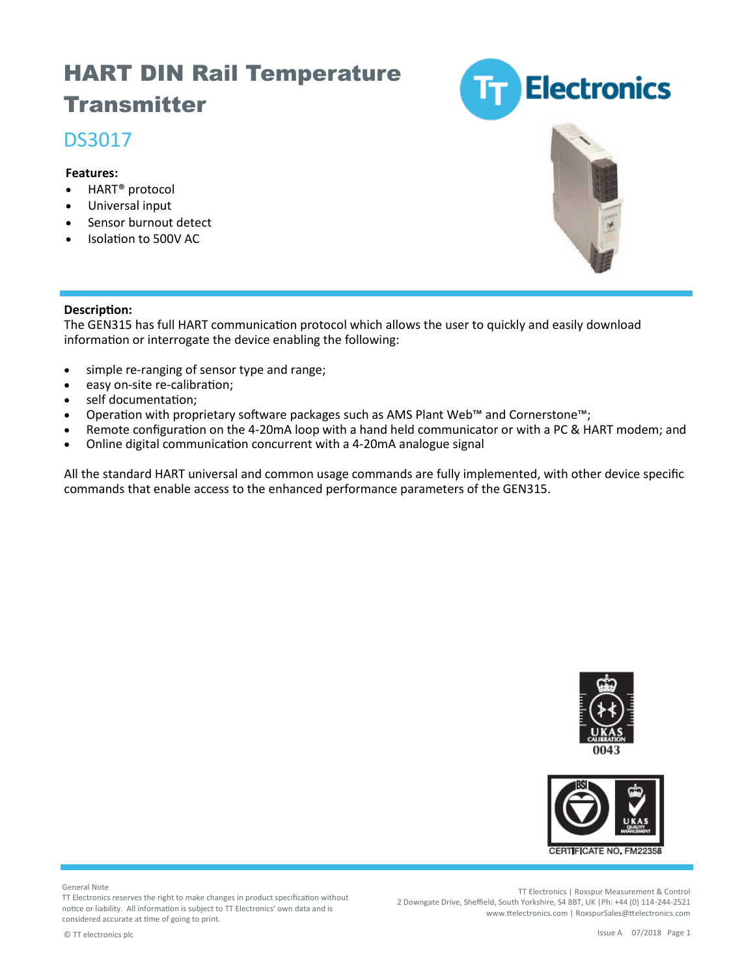## HART DIN Rail Temperature **Transmitter**

### DS3017

#### **Features:**

- HART® protocol
- Universal input
- Sensor burnout detect
- Isolation to 500V AC





#### **Description:**

The GEN315 has full HART communication protocol which allows the user to quickly and easily download information or interrogate the device enabling the following:

- simple re-ranging of sensor type and range;
- easy on-site re-calibration;
- self documentation;
- Operation with proprietary software packages such as AMS Plant Web™ and Cornerstone™;
- Remote configuration on the 4-20mA loop with a hand held communicator or with a PC & HART modem; and
- Online digital communication concurrent with a 4-20mA analogue signal

All the standard HART universal and common usage commands are fully implemented, with other device specific commands that enable access to the enhanced performance parameters of the GEN315.





General Note

TT Electronics reserves the right to make changes in product specification without notice or liability. All information is subject to TT Electronics' own data and is considered accurate at time of going to print.

TT Electronics | Roxspur Measurement & Control 2 Downgate Drive, Sheffield, South Yorkshire, S4 8BT, UK |Ph: +44 (0) 114-244-2521 www.ttelectronics.com | RoxspurSales@ttelectronics.com